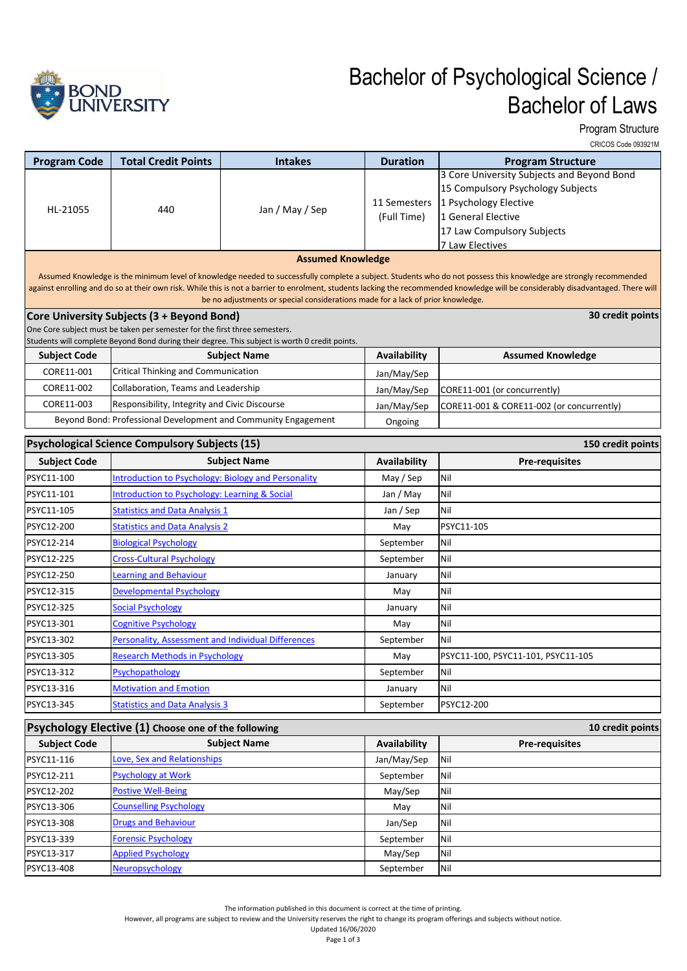

## Bachelor of Psychological Science / Bachelor of Laws

Program Structure

CRICOS Code 093921M

| <b>Program Code</b>                                                                                                                                                                                                                                                                                                                                                                                                                         | <b>Total Credit Points</b>                                                 | <b>Intakes</b>                                                                                 | <b>Duration</b>             | <b>Program Structure</b>                                                                                                                                                        |  |  |
|---------------------------------------------------------------------------------------------------------------------------------------------------------------------------------------------------------------------------------------------------------------------------------------------------------------------------------------------------------------------------------------------------------------------------------------------|----------------------------------------------------------------------------|------------------------------------------------------------------------------------------------|-----------------------------|---------------------------------------------------------------------------------------------------------------------------------------------------------------------------------|--|--|
| HL-21055                                                                                                                                                                                                                                                                                                                                                                                                                                    | 440                                                                        | Jan / May / Sep                                                                                | 11 Semesters<br>(Full Time) | 3 Core University Subjects and Beyond Bond<br>15 Compulsory Psychology Subjects<br>1 Psychology Elective<br>1 General Elective<br>17 Law Compulsory Subjects<br>7 Law Electives |  |  |
|                                                                                                                                                                                                                                                                                                                                                                                                                                             | <b>Assumed Knowledge</b>                                                   |                                                                                                |                             |                                                                                                                                                                                 |  |  |
| Assumed Knowledge is the minimum level of knowledge needed to successfully complete a subject. Students who do not possess this knowledge are strongly recommended<br>against enrolling and do so at their own risk. While this is not a barrier to enrolment, students lacking the recommended knowledge will be considerably disadvantaged. There will<br>be no adjustments or special considerations made for a lack of prior knowledge. |                                                                            |                                                                                                |                             |                                                                                                                                                                                 |  |  |
|                                                                                                                                                                                                                                                                                                                                                                                                                                             | Core University Subjects (3 + Beyond Bond)                                 |                                                                                                |                             | 30 credit points                                                                                                                                                                |  |  |
|                                                                                                                                                                                                                                                                                                                                                                                                                                             | One Core subject must be taken per semester for the first three semesters. | Students will complete Beyond Bond during their degree. This subject is worth 0 credit points. |                             |                                                                                                                                                                                 |  |  |
| <b>Subject Code</b>                                                                                                                                                                                                                                                                                                                                                                                                                         |                                                                            | <b>Subject Name</b>                                                                            | Availability                | <b>Assumed Knowledge</b>                                                                                                                                                        |  |  |
| CORE11-001                                                                                                                                                                                                                                                                                                                                                                                                                                  | Critical Thinking and Communication                                        |                                                                                                | Jan/May/Sep                 |                                                                                                                                                                                 |  |  |
| CORE11-002                                                                                                                                                                                                                                                                                                                                                                                                                                  | Collaboration, Teams and Leadership                                        |                                                                                                | Jan/May/Sep                 | CORE11-001 (or concurrently)                                                                                                                                                    |  |  |
| CORE11-003                                                                                                                                                                                                                                                                                                                                                                                                                                  | Responsibility, Integrity and Civic Discourse                              |                                                                                                | Jan/May/Sep                 | CORE11-001 & CORE11-002 (or concurrently)                                                                                                                                       |  |  |
|                                                                                                                                                                                                                                                                                                                                                                                                                                             |                                                                            | Beyond Bond: Professional Development and Community Engagement                                 | Ongoing                     |                                                                                                                                                                                 |  |  |
|                                                                                                                                                                                                                                                                                                                                                                                                                                             | <b>Psychological Science Compulsory Subjects (15)</b>                      |                                                                                                |                             | 150 credit points                                                                                                                                                               |  |  |
| <b>Subject Code</b>                                                                                                                                                                                                                                                                                                                                                                                                                         |                                                                            | <b>Subject Name</b>                                                                            | <b>Availability</b>         | <b>Pre-requisites</b>                                                                                                                                                           |  |  |
| PSYC11-100                                                                                                                                                                                                                                                                                                                                                                                                                                  | Introduction to Psychology: Biology and Personality                        |                                                                                                | May / Sep                   | Nil                                                                                                                                                                             |  |  |
| PSYC11-101                                                                                                                                                                                                                                                                                                                                                                                                                                  | ntroduction to Psychology: Learning & Social                               |                                                                                                | Jan / May                   | Nil                                                                                                                                                                             |  |  |
| PSYC11-105                                                                                                                                                                                                                                                                                                                                                                                                                                  | <b>Statistics and Data Analysis 1</b>                                      |                                                                                                | Jan / Sep                   | Nil                                                                                                                                                                             |  |  |
| PSYC12-200                                                                                                                                                                                                                                                                                                                                                                                                                                  | <b>Statistics and Data Analysis 2</b>                                      |                                                                                                | May                         | PSYC11-105                                                                                                                                                                      |  |  |
| PSYC12-214                                                                                                                                                                                                                                                                                                                                                                                                                                  | <b>Biological Psychology</b>                                               |                                                                                                | September                   | Nil                                                                                                                                                                             |  |  |
| PSYC12-225                                                                                                                                                                                                                                                                                                                                                                                                                                  | <b>Cross-Cultural Psychology</b>                                           |                                                                                                | September                   | Nil                                                                                                                                                                             |  |  |
| PSYC12-250                                                                                                                                                                                                                                                                                                                                                                                                                                  | Learning and Behaviour                                                     |                                                                                                | January                     | Nil                                                                                                                                                                             |  |  |
| PSYC12-315                                                                                                                                                                                                                                                                                                                                                                                                                                  | Developmental Psychology                                                   |                                                                                                | May                         | Nil                                                                                                                                                                             |  |  |
| PSYC12-325                                                                                                                                                                                                                                                                                                                                                                                                                                  | <b>Social Psychology</b>                                                   |                                                                                                | January                     | Nil                                                                                                                                                                             |  |  |
| PSYC13-301                                                                                                                                                                                                                                                                                                                                                                                                                                  | <b>Cognitive Psychology</b>                                                |                                                                                                | May                         | Nil                                                                                                                                                                             |  |  |
| PSYC13-302                                                                                                                                                                                                                                                                                                                                                                                                                                  | Personality, Assessment and Individual Differences                         |                                                                                                | September                   | Nil                                                                                                                                                                             |  |  |
| PSYC13-305                                                                                                                                                                                                                                                                                                                                                                                                                                  | <b>Research Methods in Psychology</b>                                      |                                                                                                | May                         | PSYC11-100, PSYC11-101, PSYC11-105                                                                                                                                              |  |  |
| PSYC13-312                                                                                                                                                                                                                                                                                                                                                                                                                                  | Psychopathology                                                            |                                                                                                | September                   | Nil                                                                                                                                                                             |  |  |
| PSYC13-316                                                                                                                                                                                                                                                                                                                                                                                                                                  | <b>Motivation and Emotion</b>                                              |                                                                                                | January                     | Nil                                                                                                                                                                             |  |  |
| PSYC13-345                                                                                                                                                                                                                                                                                                                                                                                                                                  | <b>Statistics and Data Analysis 3</b>                                      |                                                                                                | September                   | PSYC12-200                                                                                                                                                                      |  |  |
| Psychology Elective (1) Choose one of the following<br>10 credit points                                                                                                                                                                                                                                                                                                                                                                     |                                                                            |                                                                                                |                             |                                                                                                                                                                                 |  |  |
| <b>Subject Code</b>                                                                                                                                                                                                                                                                                                                                                                                                                         |                                                                            | <b>Subject Name</b>                                                                            | Availability                | <b>Pre-requisites</b>                                                                                                                                                           |  |  |
| PSYC11-116                                                                                                                                                                                                                                                                                                                                                                                                                                  | Love. Sex and Relationships                                                |                                                                                                | Jan/May/Sep                 | Nil                                                                                                                                                                             |  |  |
| PSYC12-211                                                                                                                                                                                                                                                                                                                                                                                                                                  | <b>Psychology at Work</b>                                                  |                                                                                                | September                   | Nil                                                                                                                                                                             |  |  |
| PSYC12-202                                                                                                                                                                                                                                                                                                                                                                                                                                  | <b>Postive Well-Being</b>                                                  |                                                                                                | May/Sep                     | Nil                                                                                                                                                                             |  |  |
| PSYC13-306                                                                                                                                                                                                                                                                                                                                                                                                                                  | <b>Counselling Psychology</b>                                              |                                                                                                | May                         | Nil                                                                                                                                                                             |  |  |
| PSYC13-308                                                                                                                                                                                                                                                                                                                                                                                                                                  | <b>Drugs and Behaviour</b>                                                 |                                                                                                | Jan/Sep                     | Nil                                                                                                                                                                             |  |  |
| PSYC13-339                                                                                                                                                                                                                                                                                                                                                                                                                                  | <b>Forensic Psychology</b>                                                 |                                                                                                | September                   | Nil                                                                                                                                                                             |  |  |
| PSYC13-317                                                                                                                                                                                                                                                                                                                                                                                                                                  | <b>Applied Psychology</b>                                                  |                                                                                                | May/Sep                     | Nil                                                                                                                                                                             |  |  |
| PSYC13-408                                                                                                                                                                                                                                                                                                                                                                                                                                  | Neuropsychology                                                            |                                                                                                | September                   | Nil                                                                                                                                                                             |  |  |

However, all programs are subject to review and the University reserves the right to change its program offerings and subjects without notice.

Updated 16/06/2020 Page 1 of 3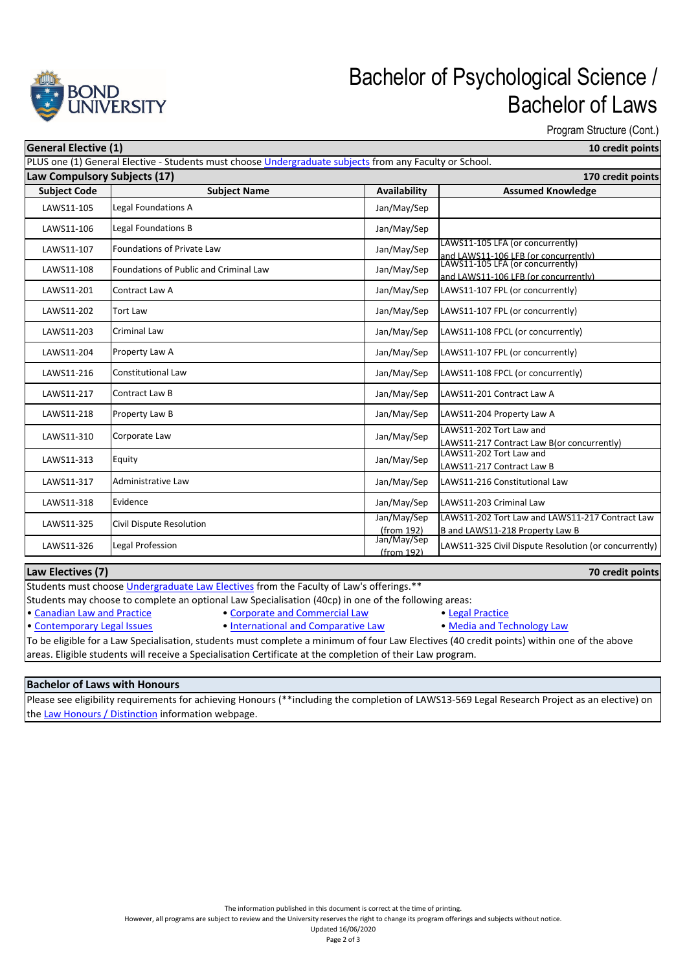

## Bachelor of Psychological Science / Bachelor of Laws

Program Structure (Cont.)

|  | 10 credit points |  |  |
|--|------------------|--|--|

| <b>General Elective (1)</b>  |                                                                                                         |                           | 10 credit points                                                         |
|------------------------------|---------------------------------------------------------------------------------------------------------|---------------------------|--------------------------------------------------------------------------|
|                              | PLUS one (1) General Elective - Students must choose Undergraduate subjects from any Faculty or School. |                           |                                                                          |
| Law Compulsory Subjects (17) | <b>Subject Name</b>                                                                                     | Availability              | 170 credit points<br><b>Assumed Knowledge</b>                            |
| <b>Subject Code</b>          |                                                                                                         |                           |                                                                          |
| LAWS11-105                   | Legal Foundations A                                                                                     | Jan/May/Sep               |                                                                          |
| LAWS11-106                   | Legal Foundations B                                                                                     | Jan/May/Sep               |                                                                          |
| LAWS11-107                   | <b>Foundations of Private Law</b>                                                                       | Jan/May/Sep               | LAWS11-105 LFA (or concurrently)                                         |
| LAWS11-108                   | Foundations of Public and Criminal Law                                                                  | Jan/May/Sep               | and LAWS11-106 LFB (or concurrently)<br>LAWS11-105 LFA (or concurrently) |
|                              |                                                                                                         |                           | and LAWS11-106 LFB (or concurrently)                                     |
| LAWS11-201                   | Contract Law A                                                                                          | Jan/May/Sep               | LAWS11-107 FPL (or concurrently)                                         |
| LAWS11-202                   | Tort Law                                                                                                | Jan/May/Sep               | LAWS11-107 FPL (or concurrently)                                         |
| LAWS11-203                   | Criminal Law                                                                                            | Jan/May/Sep               | LAWS11-108 FPCL (or concurrently)                                        |
| LAWS11-204                   | Property Law A                                                                                          | Jan/May/Sep               | LAWS11-107 FPL (or concurrently)                                         |
| LAWS11-216                   | Constitutional Law                                                                                      | Jan/May/Sep               | LAWS11-108 FPCL (or concurrently)                                        |
| LAWS11-217                   | Contract Law B                                                                                          | Jan/May/Sep               | LAWS11-201 Contract Law A                                                |
| LAWS11-218                   | Property Law B                                                                                          | Jan/May/Sep               | LAWS11-204 Property Law A                                                |
| LAWS11-310                   | Corporate Law                                                                                           | Jan/May/Sep               | LAWS11-202 Tort Law and                                                  |
|                              |                                                                                                         |                           | LAWS11-217 Contract Law B(or concurrently)<br>LAWS11-202 Tort Law and    |
| LAWS11-313                   | Equity                                                                                                  | Jan/May/Sep               | LAWS11-217 Contract Law B                                                |
| LAWS11-317                   | Administrative Law                                                                                      | Jan/May/Sep               | LAWS11-216 Constitutional Law                                            |
| LAWS11-318                   | Evidence                                                                                                | Jan/May/Sep               | LAWS11-203 Criminal Law                                                  |
| LAWS11-325                   | Civil Dispute Resolution                                                                                | Jan/May/Sep               | LAWS11-202 Tort Law and LAWS11-217 Contract Law                          |
|                              |                                                                                                         | (from 192)                | B and LAWS11-218 Property Law B                                          |
| LAWS11-326                   | Legal Profession                                                                                        | Jan/May/Sep<br>(from 192) | LAWS11-325 Civil Dispute Resolution (or concurrently)                    |
| Law Electives (7)            |                                                                                                         |                           | 70 credit points                                                         |
|                              | Students must choose Undergraduate Law Electives from the Faculty of Law's offerings.**                 |                           |                                                                          |
|                              | Students may choose to complete an optional Law Specialisation (40cp) in one of the following areas:    |                           |                                                                          |

• Canadian Law and Practice • Corporate and Commercial Law • Legal Practice • Legal Practice • Contemporary Legal Issues • International and Comparative Law • Media and Technology Law • International and Comparative Law To be eligible for a Law Specialisation, students must complete a minimum of four Law Electives (40 credit points) within one of the above areas. Eligible students will receive a Specialisation Certificate at the completion of their Law program.

## **Bachelor of Laws with Honours**

Please see eligibility requirements for achieving Honours (\*\*including the completion of LAWS13‐569 Legal Research Project as an elective) on the Law Honours / Distinction information webpage.

However, all programs are subject to review and the University reserves the right to change its program offerings and subjects without notice.

Updated 16/06/2020 Page 2 of 3